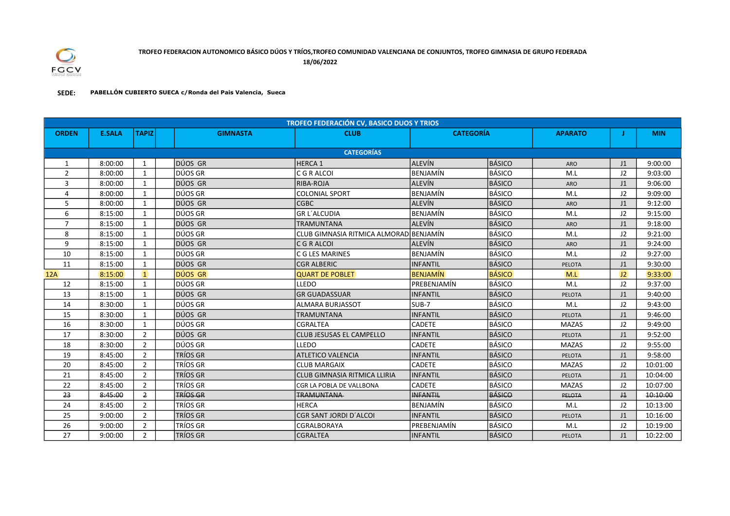

18/06/2022

## SEDE: PABELLÓN CUBIERTO SUECA c/Ronda del Pais Valencia, Sueca

| <b>TROFEO FEDERACIÓN CV, BASICO DUOS Y TRIOS</b> |                   |                |  |                 |                                         |                  |               |                |                 |            |  |
|--------------------------------------------------|-------------------|----------------|--|-----------------|-----------------------------------------|------------------|---------------|----------------|-----------------|------------|--|
| <b>ORDEN</b>                                     | <b>E.SALA</b>     | <b>TAPIZ</b>   |  | <b>GIMNASTA</b> | <b>CLUB</b>                             | <b>CATEGORÍA</b> |               | <b>APARATO</b> |                 | <b>MIN</b> |  |
|                                                  |                   |                |  |                 |                                         |                  |               |                |                 |            |  |
|                                                  | <b>CATEGORÍAS</b> |                |  |                 |                                         |                  |               |                |                 |            |  |
| 1                                                | 8:00:00           | 1              |  | Idúos Gr        | <b>HERCA 1</b>                          | <b>ALEVÍN</b>    | <b>BÁSICO</b> | <b>ARO</b>     | J1              | 9:00:00    |  |
| 2                                                | 8:00:00           | 1              |  | DÚOS GR         | C G R ALCOI                             | <b>BENJAMÍN</b>  | BÁSICO        | M.L            | 12 <sup>2</sup> | 9:03:00    |  |
| 3                                                | 8:00:00           | 1              |  | DÚOS GR         | RIBA-ROJA                               | <b>ALEVÍN</b>    | <b>BÁSICO</b> | <b>ARO</b>     | J1              | 9:06:00    |  |
| 4                                                | 8:00:00           | $\mathbf{1}$   |  | DÚOS GR         | <b>COLONIAL SPORT</b>                   | <b>BENJAMÍN</b>  | <b>BÁSICO</b> | M.L            | 12 <sup>2</sup> | 9:09:00    |  |
| 5                                                | 8:00:00           | 1              |  | Idúos gr        | <b>CGBC</b>                             | ALEVÍN           | <b>BÁSICO</b> | ARO            | J <sub>1</sub>  | 9:12:00    |  |
| 6                                                | 8:15:00           | 1              |  | IDÚOS GR        | <b>GR L'ALCUDIA</b>                     | <b>BENJAMÍN</b>  | BÁSICO        | M.L            | J2              | 9:15:00    |  |
| $\overline{7}$                                   | 8:15:00           | $\mathbf{1}$   |  | DÚOS GR         | TRAMUNTANA                              | <b>ALEVÍN</b>    | <b>BÁSICO</b> | <b>ARO</b>     | J1              | 9:18:00    |  |
| 8                                                | 8:15:00           | 1              |  | DÚOS GR         | CLUB GIMNASIA RITMICA ALMORADI BENJAMÍN |                  | BÁSICO        | M.L            | J2              | 9:21:00    |  |
| 9                                                | 8:15:00           | 1              |  | DÚOS GR         | C G R ALCOI                             | <b>ALEVÍN</b>    | <b>BÁSICO</b> | <b>ARO</b>     | J <sub>1</sub>  | 9:24:00    |  |
| 10                                               | 8:15:00           | $\mathbf{1}$   |  | DÚOS GR         | C G LES MARINES                         | <b>BENJAMÍN</b>  | BÁSICO        | M.L            | J2              | 9:27:00    |  |
| 11                                               | 8:15:00           | 1              |  | Idúos gr        | <b>CGR ALBERIC</b>                      | <b>INFANTIL</b>  | <b>BÁSICO</b> | <b>PELOTA</b>  | J1              | 9:30:00    |  |
| 12A                                              | 8:15:00           | $\mathbf{1}$   |  | DÚOS GR         | <b>QUART DE POBLET</b>                  | <b>BENJAMÍN</b>  | <b>BÁSICO</b> | M.L            | J2              | 9:33:00    |  |
| 12                                               | 8:15:00           | 1              |  | DÚOS GR         | LLEDO                                   | PREBENJAMÍN      | BÁSICO        | M.L            | J2              | 9:37:00    |  |
| 13                                               | 8:15:00           | 1              |  | DÚOS GR         | <b>GR GUADASSUAR</b>                    | <b>INFANTIL</b>  | <b>BÁSICO</b> | PELOTA         | J1              | 9:40:00    |  |
| 14                                               | 8:30:00           | 1              |  | IDÚOS GR        | <b>ALMARA BURJASSOT</b>                 | $SUB-7$          | <b>BÁSICO</b> | M.L            | J2              | 9:43:00    |  |
| 15                                               | 8:30:00           | 1              |  | DÚOS GR         | TRAMUNTANA                              | <b>INFANTIL</b>  | <b>BÁSICO</b> | <b>PELOTA</b>  | J1              | 9:46:00    |  |
| 16                                               | 8:30:00           | $\mathbf{1}$   |  | DÚOS GR         | <b>CGRALTEA</b>                         | <b>CADETE</b>    | BÁSICO        | <b>MAZAS</b>   | J2              | 9:49:00    |  |
| 17                                               | 8:30:00           | $\overline{2}$ |  | DÚOS GR         | CLUB JESUSAS EL CAMPELLO                | <b>INFANTIL</b>  | <b>BÁSICO</b> | PELOTA         | J <sub>1</sub>  | 9:52:00    |  |
| 18                                               | 8:30:00           | $\overline{2}$ |  | DÚOS GR         | LLEDO                                   | CADETE           | BÁSICO        | <b>MAZAS</b>   | J2              | 9:55:00    |  |
| 19                                               | 8:45:00           | $\overline{2}$ |  | <b>TRÍOS GR</b> | <b>ATLETICO VALENCIA</b>                | <b>INFANTIL</b>  | <b>BÁSICO</b> | PELOTA         | J1              | 9:58:00    |  |
| 20                                               | 8:45:00           | $\overline{2}$ |  | TRÍOS GR        | <b>CLUB MARGAIX</b>                     | <b>CADETE</b>    | <b>BÁSICO</b> | MAZAS          | J2              | 10:01:00   |  |
| 21                                               | 8:45:00           | $\overline{2}$ |  | <b>TRÍOS GR</b> | <b>CLUB GIMNASIA RITMICA LLIRIA</b>     | <b>INFANTIL</b>  | <b>BÁSICO</b> | PELOTA         | J1              | 10:04:00   |  |
| 22                                               | 8:45:00           | $\overline{2}$ |  | TRÍOS GR        | CGR LA POBLA DE VALLBONA                | CADETE           | <b>BÁSICO</b> | <b>MAZAS</b>   | J2              | 10:07:00   |  |
| 23                                               | 8:45:00           | $\overline{2}$ |  | TRÍOS GR        | <b>TRAMUNTANA</b>                       | <b>INFANTIL</b>  | <b>BÁSICO</b> | <b>PELOTA</b>  | 1               | 10:10:00   |  |
| 24                                               | 8:45:00           | $\overline{2}$ |  | TRÍOS GR        | <b>HERCA</b>                            | <b>BENJAMÍN</b>  | BÁSICO        | M.L            | J2              | 10:13:00   |  |
| 25                                               | 9:00:00           | $\overline{2}$ |  | TRÍOS GR        | <b>CGR SANT JORDI D'ALCOI</b>           | <b>INFANTIL</b>  | <b>BÁSICO</b> | PELOTA         | J1              | 10:16:00   |  |
| 26                                               | 9:00:00           | 2              |  | TRÍOS GR        | CGRALBORAYA                             | PREBENJAMÍN      | <b>BÁSICO</b> | M.L            | 12 <sup>2</sup> | 10:19:00   |  |
| 27                                               | 9:00:00           | $\overline{2}$ |  | <b>TRÍOS GR</b> | <b>CGRALTEA</b>                         | <b>INFANTIL</b>  | BÁSICO        | PELOTA         | J1              | 10:22:00   |  |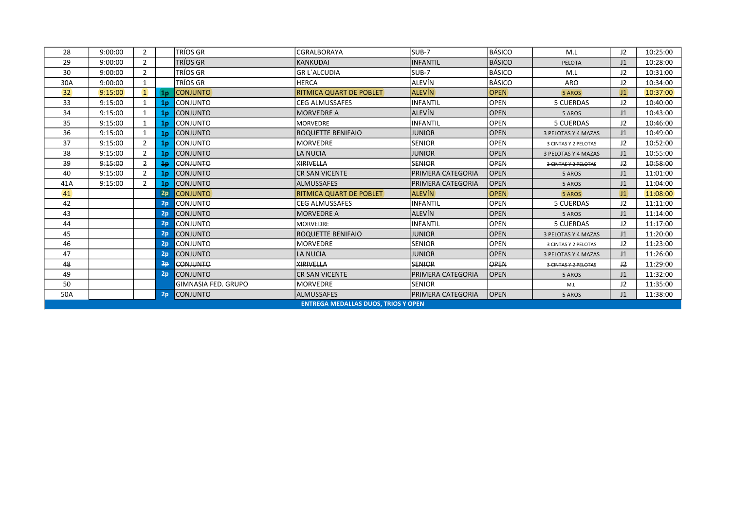| 28              | 9:00:00                                    | $\overline{2}$ |                | TRÍOS GR            | CGRALBORAYA             | SUB-7                    | <b>BÁSICO</b> | M.L                  | 12 <sup>2</sup> | 10:25:00 |  |
|-----------------|--------------------------------------------|----------------|----------------|---------------------|-------------------------|--------------------------|---------------|----------------------|-----------------|----------|--|
| 29              | 9:00:00                                    | $\overline{2}$ |                | TRÍOS GR            | <b>KANKUDAI</b>         | <b>INFANTIL</b>          | BÁSICO        | <b>PELOTA</b>        | J1              | 10:28:00 |  |
| 30              | 9:00:00                                    | $\overline{2}$ |                | TRÍOS GR            | <b>GR L'ALCUDIA</b>     | SUB-7                    | BÁSICO        | M.L                  | J2              | 10:31:00 |  |
| 30A             | 9:00:00                                    | $\mathbf{1}$   |                | TRÍOS GR            | <b>HERCA</b>            | ALEVÍN                   | BÁSICO        | ARO                  | J2              | 10:34:00 |  |
| 32 <sup>2</sup> | 9:15:00                                    | $\mathbf{1}$   | 1 <sub>p</sub> | <b>CONJUNTO</b>     | RITMICA QUART DE POBLET | <b>ALEVÍN</b>            | <b>OPEN</b>   | 5 AROS               | $ 11\rangle$    | 10:37:00 |  |
| 33              | 9:15:00                                    | 1              | 1 <sub>p</sub> | <b>CONJUNTO</b>     | <b>CEG ALMUSSAFES</b>   | <b>INFANTIL</b>          | <b>OPEN</b>   | <b>5 CUERDAS</b>     | 12 <sup>2</sup> | 10:40:00 |  |
| 34              | 9:15:00                                    |                | 1 <sub>p</sub> | CONJUNTO            | <b>MORVEDRE A</b>       | <b>ALEVÍN</b>            | <b>OPEN</b>   | 5 AROS               | J1              | 10:43:00 |  |
| 35              | 9:15:00                                    |                | 1 <sub>p</sub> | <b>CONJUNTO</b>     | <b>MORVEDRE</b>         | <b>INFANTIL</b>          | <b>OPEN</b>   | <b>5 CUERDAS</b>     | J2              | 10:46:00 |  |
| 36              | 9:15:00                                    | 1              | 1 <sub>p</sub> | CONJUNTO            | ROQUETTE BENIFAIO       | <b>JUNIOR</b>            | <b>OPEN</b>   | 3 PELOTAS Y 4 MAZAS  | J1              | 10:49:00 |  |
| 37              | 9:15:00                                    | $\overline{2}$ | 1 <sub>p</sub> | <b>CONJUNTO</b>     | <b>MORVEDRE</b>         | <b>SENIOR</b>            | <b>OPEN</b>   | 3 CINTAS Y 2 PELOTAS | 12              | 10:52:00 |  |
| 38              | 9:15:00                                    | $\overline{2}$ | 1 <sub>p</sub> | <b>CONJUNTO</b>     | <b>LA NUCIA</b>         | <b>JUNIOR</b>            | <b>OPEN</b>   | 3 PELOTAS Y 4 MAZAS  | J1              | 10:55:00 |  |
| 39              | 9:15:00                                    | $\overline{2}$ | 1p             | <b>CONJUNTO</b>     | <b>XIRIVELLA</b>        | <b>SENIOR</b>            | <b>OPEN</b>   | 3 CINTAS Y 2 PELOTAS | 12              | 10:58:00 |  |
| 40              | 9:15:00                                    | $\overline{2}$ | 1 <sub>p</sub> | <b>CONJUNTO</b>     | <b>CR SAN VICENTE</b>   | PRIMERA CATEGORIA        | <b>OPEN</b>   | 5 AROS               | J1              | 11:01:00 |  |
| 41A             | 9:15:00                                    | 2              | 1 <sub>p</sub> | CONJUNTO            | <b>ALMUSSAFES</b>       | IPRIMERA CATEGORIA       | <b>OPEN</b>   | 5 AROS               | J1              | 11:04:00 |  |
| 41              |                                            |                | 2p             | <b>CONJUNTO</b>     | RITMICA QUART DE POBLET | <b>ALEVÍN</b>            | <b>OPEN</b>   | 5 AROS               | $ 11\rangle$    | 11:08:00 |  |
| 42              |                                            |                | 2p             | Iconjunto           | <b>CEG ALMUSSAFES</b>   | <b>INFANTIL</b>          | <b>OPEN</b>   | <b>5 CUERDAS</b>     | 12              | 11:11:00 |  |
| 43              |                                            |                | 2p             | <b>CONJUNTO</b>     | <b>MORVEDRE A</b>       | <b>ALEVÍN</b>            | <b>OPEN</b>   | 5 AROS               | J1              | 11:14:00 |  |
| 44              |                                            |                | 2p             | Iconjunto           | MORVEDRE                | <b>INFANTIL</b>          | <b>OPEN</b>   | <b>5 CUERDAS</b>     | 12              | 11:17:00 |  |
| 45              |                                            |                | 2p             | <b>CONJUNTO</b>     | ROQUETTE BENIFAIO       | <b>JUNIOR</b>            | <b>OPEN</b>   | 3 PELOTAS Y 4 MAZAS  | J1              | 11:20:00 |  |
| 46              |                                            |                | 2p             | <b>CONJUNTO</b>     | <b>MORVEDRE</b>         | <b>SENIOR</b>            | <b>OPEN</b>   | 3 CINTAS Y 2 PELOTAS | J2              | 11:23:00 |  |
| 47              |                                            |                | 2p             | <b>CONJUNTO</b>     | LA NUCIA                | <b>JUNIOR</b>            | <b>OPEN</b>   | 3 PELOTAS Y 4 MAZAS  | J1              | 11:26:00 |  |
| 48              |                                            |                | 2p             | <b>CONJUNTO</b>     | <b>XIRIVELLA</b>        | <b>SENIOR</b>            | OPEN          | 3 CINTAS Y 2 PELOTAS | 12              | 11:29:00 |  |
| 49              |                                            |                | 2p             | <b>CONJUNTO</b>     | <b>CR SAN VICENTE</b>   | IPRIMERA CATEGORIA       | <b>OPEN</b>   | 5 AROS               | J1              | 11:32:00 |  |
| 50              |                                            |                |                | GIMNASIA FED. GRUPO | <b>MORVEDRE</b>         | <b>SENIOR</b>            |               | M.L                  | J2              | 11:35:00 |  |
| 50A             |                                            |                | 2p             | <b>CONJUNTO</b>     | <b>ALMUSSAFES</b>       | <b>PRIMERA CATEGORIA</b> | <b>OPEN</b>   | 5 AROS               | J1              | 11:38:00 |  |
|                 | <b>ENTREGA MEDALLAS DUOS, TRIOS Y OPEN</b> |                |                |                     |                         |                          |               |                      |                 |          |  |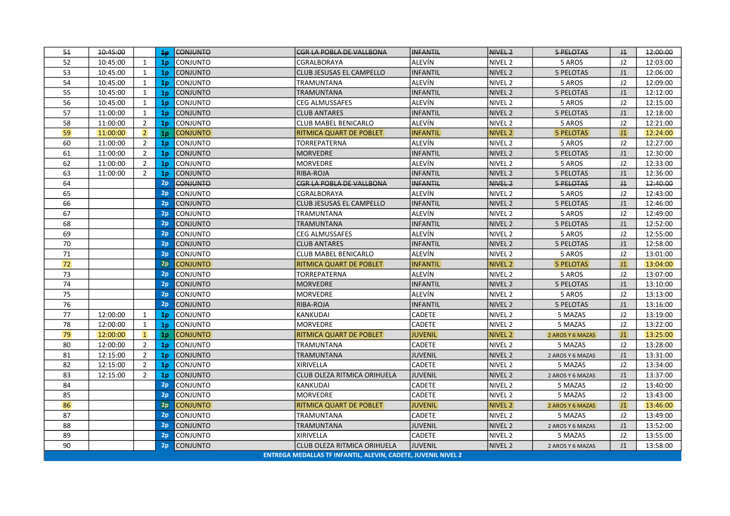| 51 | 10:45:00 |                | 4p             | <b>CONJUNTO</b> | <b>CGR LA POBLA DE VALLBONA</b>                               | <b>INFANTIL</b> | NIVEL <sub>2</sub> | 5 PELOTAS        | $\pm 1$        | 12:00:00 |
|----|----------|----------------|----------------|-----------------|---------------------------------------------------------------|-----------------|--------------------|------------------|----------------|----------|
| 52 | 10:45:00 | $\mathbf{1}$   | 1 <sub>p</sub> | CONJUNTO        | CGRALBORAYA                                                   | ALEVÍN          | NIVEL <sub>2</sub> | 5 AROS           | J2             | 12:03:00 |
| 53 | 10:45:00 | 1              | 1 <sub>p</sub> | <b>CONJUNTO</b> | CLUB JESUSAS EL CAMPELLO                                      | <b>INFANTIL</b> | NIVEL <sub>2</sub> | <b>5 PELOTAS</b> | J1             | 12:06:00 |
| 54 | 10:45:00 | $\mathbf{1}$   | 1 <sub>p</sub> | <b>CONJUNTO</b> | TRAMUNTANA                                                    | ALEVÍN          | NIVEL <sub>2</sub> | 5 AROS           | 12             | 12:09:00 |
| 55 | 10:45:00 | $\mathbf{1}$   | 1 <sub>p</sub> | <b>CONJUNTO</b> | TRAMUNTANA                                                    | <b>INFANTIL</b> | NIVEL <sub>2</sub> | <b>5 PELOTAS</b> | J1             | 12:12:00 |
| 56 | 10:45:00 | $\mathbf{1}$   | 1 <sub>p</sub> | <b>CONJUNTO</b> | CEG ALMUSSAFES                                                | ALEVÍN          | NIVEL <sub>2</sub> | 5 AROS           | J2             | 12:15:00 |
| 57 | 11:00:00 | $\mathbf{1}$   | 1 <sub>p</sub> | <b>CONJUNTO</b> | <b>CLUB ANTARES</b>                                           | <b>INFANTIL</b> | NIVEL <sub>2</sub> | <b>5 PELOTAS</b> | J1             | 12:18:00 |
| 58 | 11:00:00 | $\overline{2}$ | 1 <sub>p</sub> | <b>CONJUNTO</b> | <b>CLUB MABEL BENICARLO</b>                                   | ALEVÍN          | NIVEL <sub>2</sub> | 5 AROS           | 12             | 12:21:00 |
| 59 | 11:00:00 | $\overline{2}$ | 1 <sub>p</sub> | <b>CONJUNTO</b> | RITMICA QUART DE POBLET                                       | <b>INFANTIL</b> | <b>NIVEL 2</b>     | <b>5 PELOTAS</b> | 11             | 12:24:00 |
| 60 | 11:00:00 | $\overline{2}$ | 1 <sub>p</sub> | <b>CONJUNTO</b> | TORREPATERNA                                                  | ALEVÍN          | NIVEL <sub>2</sub> | 5 AROS           | J2             | 12:27:00 |
| 61 | 11:00:00 | $\overline{2}$ | 1 <sub>p</sub> | <b>CONJUNTO</b> | <b>MORVEDRE</b>                                               | <b>INFANTIL</b> | NIVEL <sub>2</sub> | <b>5 PELOTAS</b> | J1             | 12:30:00 |
| 62 | 11:00:00 | $\overline{2}$ | 1 <sub>p</sub> | CONJUNTO        | MORVEDRE                                                      | ALEVÍN          | NIVEL <sub>2</sub> | 5 AROS           | J2             | 12:33:00 |
| 63 | 11:00:00 | $\overline{2}$ | 1 <sub>p</sub> | <b>CONJUNTO</b> | RIBA-ROJA                                                     | <b>INFANTIL</b> | NIVEL <sub>2</sub> | <b>5 PELOTAS</b> | J1             | 12:36:00 |
| 64 |          |                | 2p             | <b>CONJUNTO</b> | <b>CGR LA POBLA DE VALLBONA</b>                               | <b>INFANTIL</b> | NIVEL <sub>2</sub> | 5 PELOTAS        | J <sub>1</sub> | 12:40:00 |
| 65 |          |                | 2p             | <b>CONJUNTO</b> | CGRALBORAYA                                                   | ALEVÍN          | NIVEL <sub>2</sub> | 5 AROS           | J2             | 12:43:00 |
| 66 |          |                | 2p             | <b>CONJUNTO</b> | CLUB JESUSAS EL CAMPELLO                                      | <b>INFANTIL</b> | NIVEL <sub>2</sub> | 5 PELOTAS        | J <sub>1</sub> | 12:46:00 |
| 67 |          |                | 2p             | <b>CONJUNTO</b> | TRAMUNTANA                                                    | ALEVÍN          | NIVEL <sub>2</sub> | 5 AROS           | J2             | 12:49:00 |
| 68 |          |                | 2p             | <b>CONJUNTO</b> | TRAMUNTANA                                                    | <b>INFANTIL</b> | NIVEL <sub>2</sub> | <b>5 PELOTAS</b> | J1             | 12:52:00 |
| 69 |          |                | 2p             | CONJUNTO        | <b>CEG ALMUSSAFES</b>                                         | ALEVÍN          | NIVEL <sub>2</sub> | 5 AROS           | J2             | 12:55:00 |
| 70 |          |                | 2p             | <b>CONJUNTO</b> | <b>CLUB ANTARES</b>                                           | <b>INFANTIL</b> | NIVEL <sub>2</sub> | 5 PELOTAS        | J <sub>1</sub> | 12:58:00 |
| 71 |          |                | 2p             | CONJUNTO        | CLUB MABEL BENICARLO                                          | ALEVÍN          | NIVEL <sub>2</sub> | 5 AROS           | J2             | 13:01:00 |
| 72 |          |                | 2p             | <b>CONJUNTO</b> | RITMICA QUART DE POBLET                                       | <b>INFANTIL</b> | NIVEL <sub>2</sub> | <b>5 PELOTAS</b> | J1             | 13:04:00 |
| 73 |          |                | 2p             | <b>CONJUNTO</b> | TORREPATERNA                                                  | ALEVÍN          | NIVEL <sub>2</sub> | 5 AROS           | J2             | 13:07:00 |
| 74 |          |                | 2p             | CONJUNTO        | <b>MORVEDRE</b>                                               | <b>INFANTIL</b> | NIVEL <sub>2</sub> | <b>5 PELOTAS</b> | J1             | 13:10:00 |
| 75 |          |                | 2p             | CONJUNTO        | <b>MORVEDRE</b>                                               | ALEVÍN          | NIVEL <sub>2</sub> | 5 AROS           | J2             | 13:13:00 |
| 76 |          |                | 2p             | <b>CONJUNTO</b> | RIBA-ROJA                                                     | <b>INFANTIL</b> | NIVEL <sub>2</sub> | <b>5 PELOTAS</b> | J1             | 13:16:00 |
| 77 | 12:00:00 | $\mathbf{1}$   | 1 <sub>p</sub> | CONJUNTO        | KANKUDAI                                                      | <b>CADETE</b>   | NIVEL <sub>2</sub> | 5 MAZAS          | J2             | 13:19:00 |
| 78 | 12:00:00 | $\mathbf{1}$   | 1 <sub>p</sub> | <b>CONJUNTO</b> | <b>MORVEDRE</b>                                               | <b>CADETE</b>   | NIVEL <sub>2</sub> | 5 MAZAS          | J2             | 13:22:00 |
| 79 | 12:00:00 | $\mathbf{1}$   | 1 <sub>p</sub> | <b>CONJUNTO</b> | RITMICA QUART DE POBLET                                       | <b>JUVENIL</b>  | <b>NIVEL 2</b>     | 2 AROS Y 6 MAZAS | $ 11\rangle$   | 13:25:00 |
| 80 | 12:00:00 | $\overline{2}$ | 1 <sub>p</sub> | <b>CONJUNTO</b> | TRAMUNTANA                                                    | CADETE          | NIVEL <sub>2</sub> | 5 MAZAS          | J2             | 13:28:00 |
| 81 | 12:15:00 | $\overline{2}$ | 1 <sub>p</sub> | <b>CONJUNTO</b> | <b>TRAMUNTANA</b>                                             | <b>JUVENIL</b>  | NIVEL <sub>2</sub> | 2 AROS Y 6 MAZAS | J1             | 13:31:00 |
| 82 | 12:15:00 | $\overline{2}$ | 1 <sub>p</sub> | <b>CONJUNTO</b> | <b>XIRIVELLA</b>                                              | <b>CADETE</b>   | NIVEL <sub>2</sub> | 5 MAZAS          | J2             | 13:34:00 |
| 83 | 12:15:00 | $\overline{2}$ | 1 <sub>p</sub> | <b>CONJUNTO</b> | CLUB OLEZA RITMICA ORIHUELA                                   | <b>JUVENIL</b>  | NIVEL <sub>2</sub> | 2 AROS Y 6 MAZAS | J1             | 13:37:00 |
| 84 |          |                | 2p             | <b>CONJUNTO</b> | KANKUDAI                                                      | <b>CADETE</b>   | NIVEL <sub>2</sub> | 5 MAZAS          | J2             | 13:40:00 |
| 85 |          |                | 2p             | <b>CONJUNTO</b> | <b>MORVEDRE</b>                                               | <b>CADETE</b>   | NIVEL <sub>2</sub> | 5 MAZAS          | J2             | 13:43:00 |
| 86 |          |                | 2p             | <b>CONJUNTO</b> | RITMICA QUART DE POBLET                                       | <b>JUVENIL</b>  | <b>NIVEL 2</b>     | 2 AROS Y 6 MAZAS | $ J1\rangle$   | 13:46:00 |
| 87 |          |                | 2p             | CONJUNTO        | TRAMUNTANA                                                    | <b>CADETE</b>   | NIVEL <sub>2</sub> | 5 MAZAS          | J2             | 13:49:00 |
| 88 |          |                | 2p             | <b>CONJUNTO</b> | <b>TRAMUNTANA</b>                                             | <b>JUVENIL</b>  | NIVEL <sub>2</sub> | 2 AROS Y 6 MAZAS | J1             | 13:52:00 |
| 89 |          |                | 2p             | <b>CONJUNTO</b> | <b>XIRIVELLA</b>                                              | <b>CADETE</b>   | NIVEL <sub>2</sub> | 5 MAZAS          | J2             | 13:55:00 |
| 90 |          |                | 2p             | CONJUNTO        | CLUB OLEZA RITMICA ORIHUELA                                   | <b>JUVENIL</b>  | NIVEL <sub>2</sub> | 2 AROS Y 6 MAZAS | J1             | 13:58:00 |
|    |          |                |                |                 | ENTREGA MEDALLAS TF INFANTIL, ALEVIN, CADETE, JUVENIL NIVEL 2 |                 |                    |                  |                |          |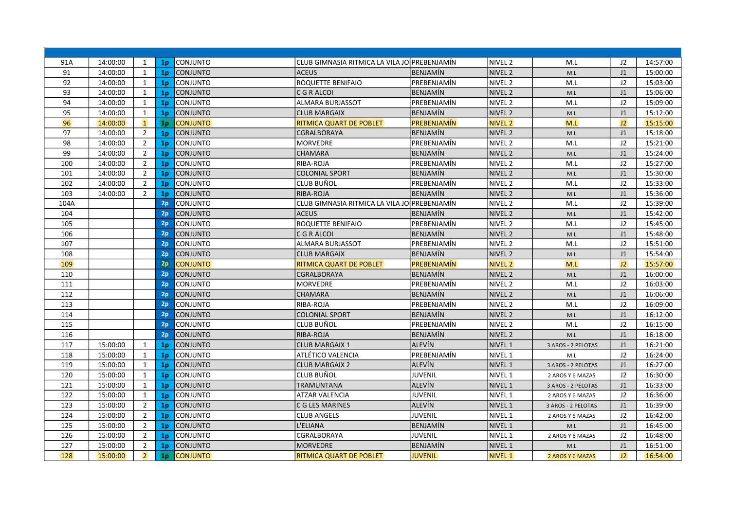| 91A  | 14:00:00 | 1              | 1 <sub>p</sub> | CONJUNTO        | CLUB GIMNASIA RITMICA LA VILA JO PREBENJAMÍN |                    | NIVEL 2            | M.L                | J2             | 14:57:00 |
|------|----------|----------------|----------------|-----------------|----------------------------------------------|--------------------|--------------------|--------------------|----------------|----------|
| 91   | 14:00:00 | $\mathbf{1}$   | 1 <sub>p</sub> | <b>CONJUNTO</b> | <b>ACEUS</b>                                 | BENJAMÍN           | NIVEL <sub>2</sub> | M.L                | J1             | 15:00:00 |
| 92   | 14:00:00 | $\mathbf{1}$   | 1 <sub>p</sub> | CONJUNTO        | ROQUETTE BENIFAIO                            | PREBENJAMÍN        | NIVEL 2            | M.L                | J2             | 15:03:00 |
| 93   | 14:00:00 | 1              | 1 <sub>p</sub> | CONJUNTO        | C G R ALCOI                                  | <b>BENJAMÍN</b>    | NIVEL <sub>2</sub> | M.L                | J1             | 15:06:00 |
| 94   | 14:00:00 | $\mathbf{1}$   | 1 <sub>p</sub> | CONJUNTO        | lalmara burjassot                            | IPREBENJAMÍN       | NIVEL <sub>2</sub> | M.L                | J2             | 15:09:00 |
| 95   | 14:00:00 | $\mathbf{1}$   | 1 <sub>p</sub> | <b>CONJUNTO</b> | <b>CLUB MARGAIX</b>                          | BENJAMÍN           | <b>NIVEL 2</b>     | M.L                | J1             | 15:12:00 |
| 96   | 14:00:00 | $\vert$ 1      | 1 <sub>p</sub> | <b>CONJUNTO</b> | <b>RITMICA QUART DE POBLET</b>               | <b>PREBENJAMÍN</b> | <b>NIVEL 2</b>     | M.L                | J2             | 15:15:00 |
| 97   | 14:00:00 | $\overline{2}$ | 1 <sub>p</sub> | <b>CONJUNTO</b> | <b>CGRALBORAYA</b>                           | BENJAMÍN           | NIVEL <sub>2</sub> | M.L                | J1             | 15:18:00 |
| 98   | 14:00:00 | $\overline{2}$ | 1 <sub>p</sub> | CONJUNTO        | MORVEDRE                                     | PREBENJAMÍN        | NIVEL <sub>2</sub> | M.L                | J2             | 15:21:00 |
| 99   | 14:00:00 | $\overline{2}$ | 1 <sub>p</sub> | <b>CONJUNTO</b> | <b>CHAMARA</b>                               | BENJAMÍN           | <b>NIVEL 2</b>     | M.L                | J <sub>1</sub> | 15:24:00 |
| 100  | 14:00:00 | $\overline{2}$ | 1 <sub>p</sub> | CONJUNTO        | RIBA-ROJA                                    | IPREBENJAMÍN       | NIVEL <sub>2</sub> | M.L                | J2             | 15:27:00 |
| 101  | 14:00:00 | $\overline{2}$ | 1 <sub>p</sub> | <b>CONJUNTO</b> | <b>COLONIAL SPORT</b>                        | <b>BENJAMÍN</b>    | NIVEL <sub>2</sub> | M.L                | J1             | 15:30:00 |
| 102  | 14:00:00 | $\overline{2}$ | 1 <sub>p</sub> | <b>CONJUNTO</b> | <b>CLUB BUÑOL</b>                            | PREBENJAMÍN        | NIVEL 2            | M.L                | J2             | 15:33:00 |
| 103  | 14:00:00 | $\overline{2}$ | 1 <sub>p</sub> | <b>CONJUNTO</b> | RIBA-ROJA                                    | IBENJAMÍN          | NIVEL <sub>2</sub> | M.L                | J1             | 15:36:00 |
| 104A |          |                | 2p             | CONJUNTO        | CLUB GIMNASIA RITMICA LA VILA JO PREBENJAMÍN |                    | NIVEL <sub>2</sub> | M.L                | J2             | 15:39:00 |
| 104  |          |                | 2p             | <b>CONJUNTO</b> | <b>ACEUS</b>                                 | BENJAMÍN           | NIVEL <sub>2</sub> | M.L                | J1             | 15:42:00 |
| 105  |          |                | 2p             | CONJUNTO        | <b>ROQUETTE BENIFAIO</b>                     | PREBENJAMÍN        | NIVEL <sub>2</sub> | M.L                | J2             | 15:45:00 |
| 106  |          |                | 2p             | <b>CONJUNTO</b> | C G R ALCOI                                  | BENJAMÍN           | NIVEL <sub>2</sub> | M.L                | J1             | 15:48:00 |
| 107  |          |                | 2p             | CONJUNTO        | <b>ALMARA BURJASSOT</b>                      | PREBENJAMÍN        | NIVEL 2            | M.L                | J2             | 15:51:00 |
| 108  |          |                | 2p             | <b>CONJUNTO</b> | <b>ICLUB MARGAIX</b>                         | BENJAMÍN           | NIVEL <sub>2</sub> | M.L                | J1             | 15:54:00 |
| 109  |          |                | 2p             | <b>CONJUNTO</b> | <b>RITMICA QUART DE POBLET</b>               | PREBENJAMÍN        | NIVEL <sub>2</sub> | M.L                | J2             | 15:57:00 |
| 110  |          |                | 2p             | <b>CONJUNTO</b> | <b>CGRALBORAYA</b>                           | BENJAMÍN           | NIVEL <sub>2</sub> | M.L                | J <sub>1</sub> | 16:00:00 |
| 111  |          |                | 2p             | CONJUNTO        | MORVEDRE                                     | PREBENJAMÍN        | NIVEL <sub>2</sub> | M.L                | J2             | 16:03:00 |
| 112  |          |                | 2p             | CONJUNTO        | <b>CHAMARA</b>                               | BENJAMÍN           | NIVEL <sub>2</sub> | M.L                | J1             | 16:06:00 |
| 113  |          |                | 2p             | CONJUNTO        | RIBA-ROJA                                    | PREBENJAMÍN        | NIVEL <sub>2</sub> | M.L                | J2             | 16:09:00 |
| 114  |          |                | 2p             | <b>CONJUNTO</b> | <b>COLONIAL SPORT</b>                        | BENJAMÍN           | NIVEL <sub>2</sub> | M.L                | J1             | 16:12:00 |
| 115  |          |                | 2p             | <b>CONJUNTO</b> | <b>CLUB BUÑOL</b>                            | PREBENJAMÍN        | NIVEL <sub>2</sub> | M.L                | J2             | 16:15:00 |
| 116  |          |                | 2p             | <b>CONJUNTO</b> | <b>RIBA-ROJA</b>                             | <b>BENJAMÍN</b>    | NIVEL <sub>2</sub> | M.L                | J1             | 16:18:00 |
| 117  | 15:00:00 | 1              | 1 <sub>p</sub> | <b>CONJUNTO</b> | <b>CLUB MARGAIX 1</b>                        | <b>ALEVÍN</b>      | NIVEL 1            | 3 AROS - 2 PELOTAS | J1             | 16:21:00 |
| 118  | 15:00:00 | $\mathbf{1}$   | 1 <sub>p</sub> | <b>CONJUNTO</b> | ATLÉTICO VALENCIA                            | PREBENJAMÍN        | NIVEL 1            | M.L                | J2             | 16:24:00 |
| 119  | 15:00:00 | 1              | 1 <sub>p</sub> | <b>CONJUNTO</b> | <b>CLUB MARGAIX 2</b>                        | <b>ALEVÍN</b>      | NIVEL <sub>1</sub> | 3 AROS - 2 PELOTAS | J1             | 16:27:00 |
| 120  | 15:00:00 | $\mathbf{1}$   | 1 <sub>p</sub> | CONJUNTO        | <b>CLUB BUÑOL</b>                            | <b>JUVENIL</b>     | NIVEL 1            | 2 AROS Y 6 MAZAS   | J2             | 16:30:00 |
| 121  | 15:00:00 | $\mathbf{1}$   | 1 <sub>p</sub> | <b>CONJUNTO</b> | <b>TRAMUNTANA</b>                            | <b>ALEVÍN</b>      | NIVEL 1            | 3 AROS - 2 PELOTAS | J1             | 16:33:00 |
| 122  | 15:00:00 | $\mathbf{1}$   | 1 <sub>p</sub> | <b>CONJUNTO</b> | <b>ATZAR VALENCIA</b>                        | JUVENIL            | NIVEL 1            | 2 AROS Y 6 MAZAS   | J2             | 16:36:00 |
| 123  | 15:00:00 | $\overline{2}$ | 1 <sub>p</sub> | <b>CONJUNTO</b> | C G LES MARINES                              | <b>ALEVÍN</b>      | NIVEL 1            | 3 AROS - 2 PELOTAS | J1             | 16:39:00 |
| 124  | 15:00:00 | $\overline{2}$ | 1 <sub>p</sub> | CONJUNTO        | <b>CLUB ANGELS</b>                           | <b>JUVENIL</b>     | NIVEL 1            | 2 AROS Y 6 MAZAS   | J2             | 16:42:00 |
| 125  | 15:00:00 | $\overline{2}$ | 1 <sub>p</sub> | <b>CONJUNTO</b> | L'ELIANA                                     | <b>BENJAMÍN</b>    | NIVEL 1            | M.L                | J1             | 16:45:00 |
| 126  | 15:00:00 | $\overline{2}$ | 1 <sub>p</sub> | CONJUNTO        | CGRALBORAYA                                  | <b>JUVENIL</b>     | NIVEL 1            | 2 AROS Y 6 MAZAS   | J2             | 16:48:00 |
| 127  | 15:00:00 | $\overline{2}$ | 1 <sub>p</sub> | <b>CONJUNTO</b> | <b>MORVEDRE</b>                              | <b>BENJAMÍN</b>    | NIVEL 1            | M.L                | J1             | 16:51:00 |
| 128  | 15:00:00 | $\overline{2}$ | 1 <sub>p</sub> | <b>CONJUNTO</b> | <b>RITMICA QUART DE POBLET</b>               | <b>JUVENIL</b>     | <b>NIVEL 1</b>     | 2 AROS Y 6 MAZAS   | J2             | 16:54:00 |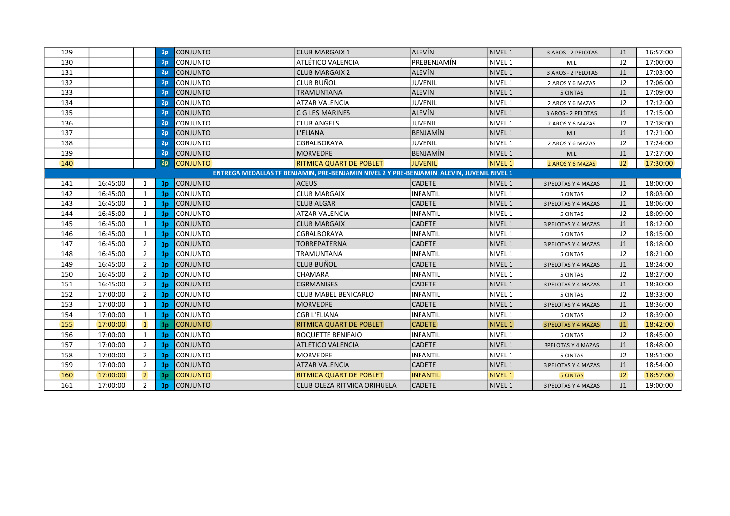| 129                                                                                        |          |                | 2p             | <b>CONJUNTO</b> | <b>CLUB MARGAIX 1</b>          | <b>ALEVÍN</b>   | <b>NIVEL 1</b>     | 3 AROS - 2 PELOTAS        | J <sub>1</sub> | 16:57:00 |  |
|--------------------------------------------------------------------------------------------|----------|----------------|----------------|-----------------|--------------------------------|-----------------|--------------------|---------------------------|----------------|----------|--|
| 130                                                                                        |          |                | 2p             | Iconjunto       | ATLÉTICO VALENCIA              | PREBENJAMÍN     | NIVEL 1            | M.L                       | J2             | 17:00:00 |  |
| 131                                                                                        |          |                | 2p             | <b>CONJUNTO</b> | <b>CLUB MARGAIX 2</b>          | <b>ALEVÍN</b>   | NIVEL <sub>1</sub> | 3 AROS - 2 PELOTAS        | J1             | 17:03:00 |  |
| 132                                                                                        |          |                | 2p             | <b>CONJUNTO</b> | lclub Buñol                    | <b>JUVENIL</b>  | NIVEL 1            | 2 AROS Y 6 MAZAS          | J2             | 17:06:00 |  |
| 133                                                                                        |          |                | 2p             | <b>CONJUNTO</b> | TRAMUNTANA                     | <b>ALEVÍN</b>   | NIVEL <sub>1</sub> | 5 CINTAS                  | J <sub>1</sub> | 17:09:00 |  |
| 134                                                                                        |          |                | 2p             | <b>CONJUNTO</b> | ATZAR VALENCIA                 | <b>JUVENIL</b>  | NIVEL 1            | 2 AROS Y 6 MAZAS          | J2             | 17:12:00 |  |
| 135                                                                                        |          |                | 2p             | <b>CONJUNTO</b> | C G LES MARINES                | <b>ALEVÍN</b>   | <b>NIVEL 1</b>     | 3 AROS - 2 PELOTAS        | J <sub>1</sub> | 17:15:00 |  |
| 136                                                                                        |          |                | 2p             | <b>CONJUNTO</b> | <b>CLUB ANGELS</b>             | <b>JUVENIL</b>  | NIVEL 1            | 2 AROS Y 6 MAZAS          | J2             | 17:18:00 |  |
| 137                                                                                        |          |                | 2p             | <b>CONJUNTO</b> | L'ELIANA                       | <b>BENJAMÍN</b> | <b>NIVEL 1</b>     | M.L                       | J <sub>1</sub> | 17:21:00 |  |
| 138                                                                                        |          |                | 2p             | <b>CONJUNTO</b> | CGRALBORAYA                    | <b>JUVENIL</b>  | NIVEL 1            | 2 AROS Y 6 MAZAS          | J2             | 17:24:00 |  |
| 139                                                                                        |          |                | 2p             | <b>CONJUNTO</b> | <b>MORVEDRE</b>                | <b>BENJAMÍN</b> | NIVEL 1            | M.L                       | J1             | 17:27:00 |  |
| 140                                                                                        |          |                | 2p             | <b>CONJUNTO</b> | <b>RITMICA QUART DE POBLET</b> | <b>JUVENIL</b>  | <b>NIVEL 1</b>     | 2 AROS Y 6 MAZAS          | J2             | 17:30:00 |  |
| ENTREGA MEDALLAS TF BENJAMIN, PRE-BENJAMIN NIVEL 2 Y PRE-BENJAMIN, ALEVIN, JUVENIL NIVEL 1 |          |                |                |                 |                                |                 |                    |                           |                |          |  |
| 141                                                                                        | 16:45:00 | 1              | 1 <sub>p</sub> | CONJUNTO        | <b>ACEUS</b>                   | <b>CADETE</b>   | NIVEL 1            | 3 PELOTAS Y 4 MAZAS       | J <sub>1</sub> | 18:00:00 |  |
| 142                                                                                        | 16:45:00 | 1              | 1 <sub>p</sub> | <b>CONJUNTO</b> | <b>CLUB MARGAIX</b>            | <b>INFANTIL</b> | NIVEL 1            | 5 CINTAS                  | J2             | 18:03:00 |  |
| 143                                                                                        | 16:45:00 | 1              | 1 <sub>p</sub> | CONJUNTO        | <b>CLUB ALGAR</b>              | <b>CADETE</b>   | NIVEL 1            | 3 PELOTAS Y 4 MAZAS       | J1             | 18:06:00 |  |
| 144                                                                                        | 16:45:00 | 1              | 1 <sub>p</sub> | <b>CONJUNTO</b> | <b>ATZAR VALENCIA</b>          | <b>INFANTIL</b> | NIVEL 1            | 5 CINTAS                  | J2             | 18:09:00 |  |
| 145                                                                                        | 16:45:00 | $\overline{1}$ | 1p             | <b>CONJUNTO</b> | <b>CLUB MARGAIX</b>            | <b>CADETE</b>   | NIVEL <sub>1</sub> | 3 PELOTAS Y 4 MAZAS       | $\pm$          | 18:12:00 |  |
| 146                                                                                        | 16:45:00 | 1              | 1 <sub>p</sub> | CONJUNTO        | CGRALBORAYA                    | <b>INFANTIL</b> | NIVEL 1            | 5 CINTAS                  | J2             | 18:15:00 |  |
| 147                                                                                        | 16:45:00 | $\overline{2}$ | 1 <sub>p</sub> | CONJUNTO        | <b>TORREPATERNA</b>            | <b>CADETE</b>   | NIVEL 1            | 3 PELOTAS Y 4 MAZAS       | J1             | 18:18:00 |  |
| 148                                                                                        | 16:45:00 | $\overline{2}$ | 1 <sub>p</sub> | <b>CONJUNTO</b> | TRAMUNTANA                     | <b>INFANTIL</b> | NIVEL 1            | 5 CINTAS                  | J2             | 18:21:00 |  |
| 149                                                                                        | 16:45:00 | $\overline{2}$ | 1 <sub>p</sub> | <b>CONJUNTO</b> | lclub Buñol                    | <b>CADETE</b>   | <b>NIVEL 1</b>     | 3 PELOTAS Y 4 MAZAS       | J1             | 18:24:00 |  |
| 150                                                                                        | 16:45:00 | $\overline{2}$ | 1 <sub>p</sub> | <b>CONJUNTO</b> | <b>CHAMARA</b>                 | <b>INFANTIL</b> | NIVEL 1            | 5 CINTAS                  | J2             | 18:27:00 |  |
| 151                                                                                        | 16:45:00 | 2              | 1 <sub>p</sub> | <b>CONJUNTO</b> | <b>CGRMANISES</b>              | <b>CADETE</b>   | <b>NIVEL 1</b>     | 3 PELOTAS Y 4 MAZAS       | J1             | 18:30:00 |  |
| 152                                                                                        | 17:00:00 | $\overline{2}$ | 1 <sub>p</sub> | CONJUNTO        | <b>CLUB MABEL BENICARLO</b>    | <b>INFANTIL</b> | NIVEL 1            | 5 CINTAS                  | J2             | 18:33:00 |  |
| 153                                                                                        | 17:00:00 | 1              | 1 <sub>p</sub> | <b>CONJUNTO</b> | <b>MORVEDRE</b>                | <b>CADETE</b>   | NIVEL 1            | 3 PELOTAS Y 4 MAZAS       | J1             | 18:36:00 |  |
| 154                                                                                        | 17:00:00 | 1              | 1 <sub>p</sub> | <b>CONJUNTO</b> | <b>CGR L'ELIANA</b>            | <b>INFANTIL</b> | NIVEL 1            | 5 CINTAS                  | J2             | 18:39:00 |  |
| 155                                                                                        | 17:00:00 | $\mathbf{1}$   | 1 <sub>p</sub> | <b>CONJUNTO</b> | <b>RITMICA QUART DE POBLET</b> | <b>CADETE</b>   | <b>NIVEL 1</b>     | 3 PELOTAS Y 4 MAZAS       | J1             | 18:42:00 |  |
| 156                                                                                        | 17:00:00 | 1              | 1 <sub>p</sub> | CONJUNTO        | <b>ROQUETTE BENIFAIO</b>       | <b>INFANTIL</b> | NIVEL 1            | 5 CINTAS                  | J2             | 18:45:00 |  |
| 157                                                                                        | 17:00:00 | $\overline{2}$ | 1 <sub>p</sub> | CONJUNTO        | ATLÉTICO VALENCIA              | <b>CADETE</b>   | NIVEL <sub>1</sub> | <b>3PELOTAS Y 4 MAZAS</b> | J1             | 18:48:00 |  |
| 158                                                                                        | 17:00:00 | $\overline{2}$ | 1 <sub>p</sub> | <b>CONJUNTO</b> | <b>MORVEDRE</b>                | <b>INFANTIL</b> | NIVEL 1            | 5 CINTAS                  | J2             | 18:51:00 |  |
| 159                                                                                        | 17:00:00 | 2              | 1 <sub>p</sub> | CONJUNTO        | <b>ATZAR VALENCIA</b>          | <b>CADETE</b>   | NIVEL 1            | 3 PELOTAS Y 4 MAZAS       | J1             | 18:54:00 |  |
| 160                                                                                        | 17:00:00 | $\overline{2}$ | 1 <sub>p</sub> | <b>CONJUNTO</b> | <b>RITMICA QUART DE POBLET</b> | <b>INFANTIL</b> | <b>NIVEL 1</b>     | <b>5 CINTAS</b>           | J2             | 18:57:00 |  |
| 161                                                                                        | 17:00:00 | $\overline{2}$ |                | 1p CONJUNTO     | CLUB OLEZA RITMICA ORIHUELA    | <b>CADETE</b>   | NIVEL <sub>1</sub> | 3 PELOTAS Y 4 MAZAS       | J <sub>1</sub> | 19:00:00 |  |